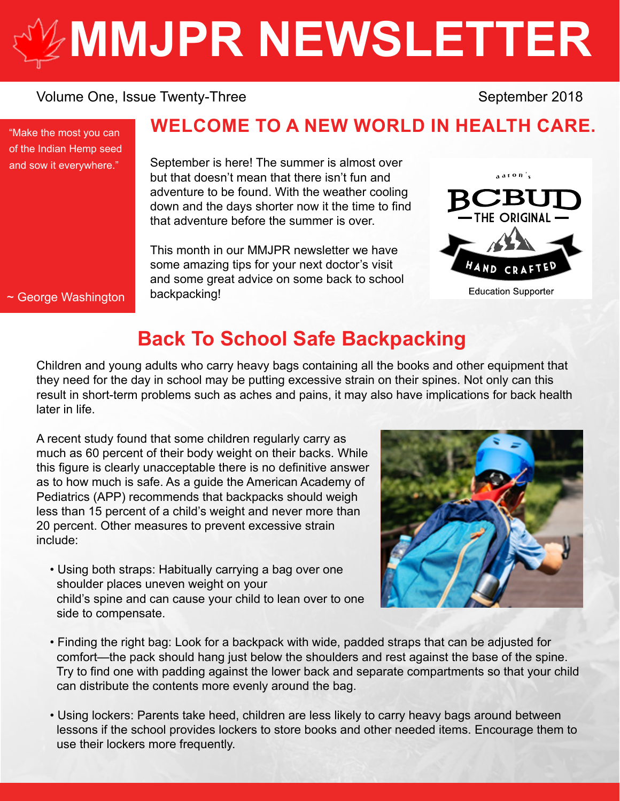# **[MMJPR NEWSLETTER](http://mmjpr.ca)**

#### Volume One, Issue Twenty-Three September 2018

"Make the most you can of the Indian Hemp seed and sow it everywhere."

## **WELCOME TO A NEW WORLD IN HEALTH CARE.**

September is here! The summer is almost over but that doesn't mean that there isn't fun and adventure to be found. With the weather cooling down and the days shorter now it the time to find that adventure before the summer is over.

This month in our MMJPR newsletter we have some amazing tips for your next doctor's visit and some great advice on some back to school backpacking!



~ George Washington

# **Back To School Safe Backpacking**

Children and young adults who carry heavy bags containing all the books and other equipment that they need for the day in school may be putting excessive strain on their spines. Not only can this result in short-term problems such as aches and pains, it may also have implications for back health later in life.

A recent study found that some children regularly carry as much as 60 percent of their body weight on their backs. While this figure is clearly unacceptable there is no definitive answer as to how much is safe. As a guide the American Academy of Pediatrics (APP) recommends that backpacks should weigh less than 15 percent of a child's weight and never more than 20 percent. Other measures to prevent excessive strain include:

 • Using both straps: Habitually carrying a bag over one shoulder places uneven weight on your child's spine and can cause your child to lean over to one side to compensate.



- Finding the right bag: Look for a backpack with wide, padded straps that can be adjusted for comfort—the pack should hang just below the shoulders and rest against the base of the spine. Try to find one with padding against the lower back and separate compartments so that your child can distribute the contents more evenly around the bag.
- Using lockers: Parents take heed, children are less likely to carry heavy bags around between lessons if the school provides lockers to store books and other needed items. Encourage them to use their lockers more frequently.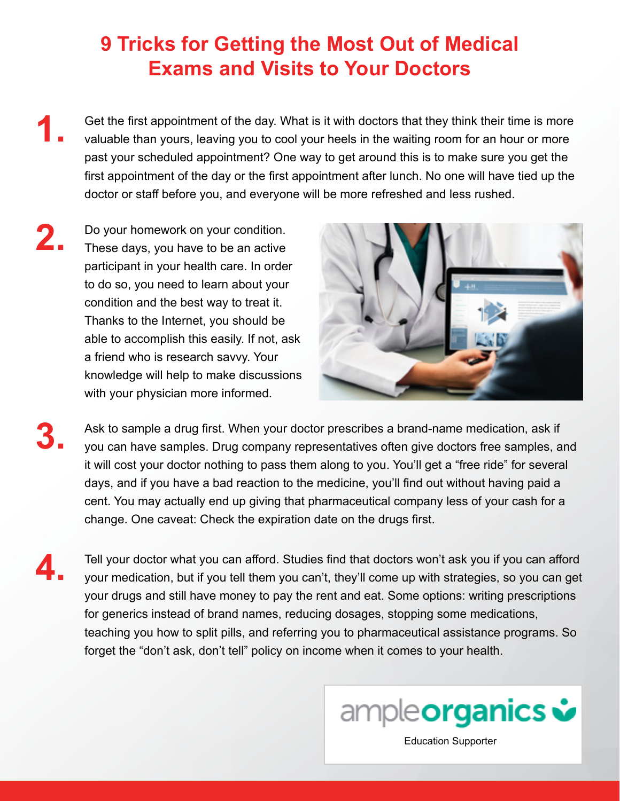# **9 Tricks for Getting the Most Out of Medical Exams and Visits to Your Doctors**

- Get the first appointment of the day. What is it with doctors that they think their time is more valuable than yours, leaving you to cool your heels in the waiting room for an hour or more past your scheduled appointment? One way to get around this is to make sure you get the first appointment of the day or the first appointment after lunch. No one will have tied up the doctor or staff before you, and everyone will be more refreshed and less rushed. **1.**
- Do your homework on your condition. These days, you have to be an active participant in your health care. In order to do so, you need to learn about your condition and the best way to treat it. Thanks to the Internet, you should be able to accomplish this easily. If not, ask a friend who is research savvy. Your knowledge will help to make discussions with your physician more informed. **2.**



- Ask to sample a drug first. When your doctor prescribes a brand-name medication, ask if you can have samples. Drug company representatives often give doctors free samples, and it will cost your doctor nothing to pass them along to you. You'll get a "free ride" for several days, and if you have a bad reaction to the medicine, you'll find out without having paid a cent. You may actually end up giving that pharmaceutical company less of your cash for a change. One caveat: Check the expiration date on the drugs first. **3.**
- **4.**

Tell your doctor what you can afford. Studies find that doctors won't ask you if you can afford your medication, but if you tell them you can't, they'll come up with strategies, so you can get your drugs and still have money to pay the rent and eat. Some options: writing prescriptions for generics instead of brand names, reducing dosages, stopping some medications, teaching you how to split pills, and referring you to pharmaceutical assistance programs. So forget the "don't ask, don't tell" policy on income when it comes to your health.



[Education Supporter](https://ampleorganics.com/)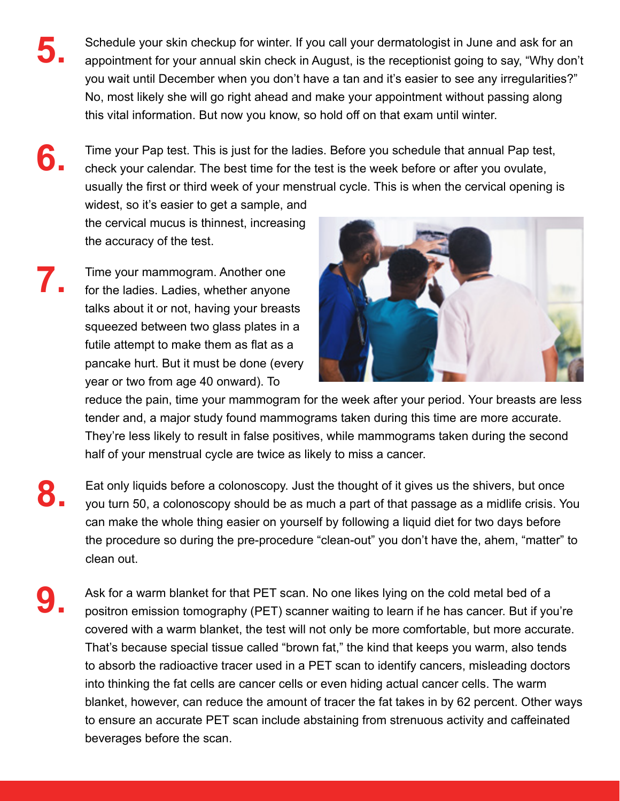- Schedule your skin checkup for winter. If you call your dermatologist in June and ask for an appointment for your annual skin check in August, is the receptionist going to say, "Why don't you wait until December when you don't have a tan and it's easier to see any irregularities?" No, most likely she will go right ahead and make your appointment without passing along this vital information. But now you know, so hold off on that exam until winter. **5.**
- Time your Pap test. This is just for the ladies. Before you schedule that annual Pap test, check your calendar. The best time for the test is the week before or after you ovulate, usually the first or third week of your menstrual cycle. This is when the cervical opening is **6.**

widest, so it's easier to get a sample, and the cervical mucus is thinnest, increasing the accuracy of the test.

Time your mammogram. Another one for the ladies. Ladies, whether anyone talks about it or not, having your breasts squeezed between two glass plates in a futile attempt to make them as flat as a pancake hurt. But it must be done (every year or two from age 40 onward). To **7.**



reduce the pain, time your mammogram for the week after your period. Your breasts are less tender and, a major study found mammograms taken during this time are more accurate. They're less likely to result in false positives, while mammograms taken during the second half of your menstrual cycle are twice as likely to miss a cancer.

- Eat only liquids before a colonoscopy. Just the thought of it gives us the shivers, but once you turn 50, a colonoscopy should be as much a part of that passage as a midlife crisis. You can make the whole thing easier on yourself by following a liquid diet for two days before the procedure so during the pre-procedure "clean-out" you don't have the, ahem, "matter" to clean out. **8.**
- Ask for a warm blanket for that PET scan. No one likes lying on the cold metal bed of a positron emission tomography (PET) scanner waiting to learn if he has cancer. But if you're covered with a warm blanket, the test will not only be more comfortable, but more accurate. That's because special tissue called "brown fat," the kind that keeps you warm, also tends to absorb the radioactive tracer used in a PET scan to identify cancers, misleading doctors into thinking the fat cells are cancer cells or even hiding actual cancer cells. The warm blanket, however, can reduce the amount of tracer the fat takes in by 62 percent. Other ways to ensure an accurate PET scan include abstaining from strenuous activity and caffeinated beverages before the scan. **9.**